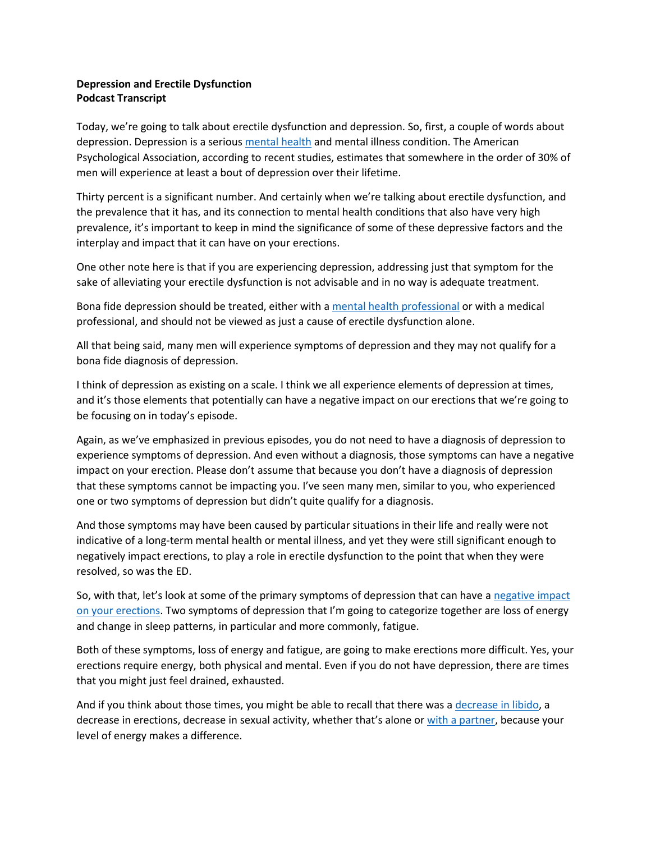## **Depression and Erectile Dysfunction Podcast Transcript**

Today, we're going to talk about erectile dysfunction and depression. So, first, a couple of words about depression. Depression is a seriou[s mental health](https://erectioniq.com/article/mental-health-and-erectile-dysfunction/) and mental illness condition. The American Psychological Association, according to recent studies, estimates that somewhere in the order of 30% of men will experience at least a bout of depression over their lifetime.

Thirty percent is a significant number. And certainly when we're talking about erectile dysfunction, and the prevalence that it has, and its connection to mental health conditions that also have very high prevalence, it's important to keep in mind the significance of some of these depressive factors and the interplay and impact that it can have on your erections.

One other note here is that if you are experiencing depression, addressing just that symptom for the sake of alleviating your erectile dysfunction is not advisable and in no way is adequate treatment.

Bona fide depression should be treated, either with [a mental health professional](https://erectioniq.com/sex-therapy-erectile-dysfunction/) or with a medical professional, and should not be viewed as just a cause of erectile dysfunction alone.

All that being said, many men will experience symptoms of depression and they may not qualify for a bona fide diagnosis of depression.

I think of depression as existing on a scale. I think we all experience elements of depression at times, and it's those elements that potentially can have a negative impact on our erections that we're going to be focusing on in today's episode.

Again, as we've emphasized in previous episodes, you do not need to have a diagnosis of depression to experience symptoms of depression. And even without a diagnosis, those symptoms can have a negative impact on your erection. Please don't assume that because you don't have a diagnosis of depression that these symptoms cannot be impacting you. I've seen many men, similar to you, who experienced one or two symptoms of depression but didn't quite qualify for a diagnosis.

And those symptoms may have been caused by particular situations in their life and really were not indicative of a long-term mental health or mental illness, and yet they were still significant enough to negatively impact erections, to play a role in erectile dysfunction to the point that when they were resolved, so was the ED.

So, with that, let's look at some of the primary symptoms of depression that can have a negative impact [on your erections](https://erectioniq.com/article/psychogenic-erectile-dysfunction/). Two symptoms of depression that I'm going to categorize together are loss of energy and change in sleep patterns, in particular and more commonly, fatigue.

Both of these symptoms, loss of energy and fatigue, are going to make erections more difficult. Yes, your erections require energy, both physical and mental. Even if you do not have depression, there are times that you might just feel drained, exhausted.

And if you think about those times, you might be able to recall that there was a [decrease in libido,](https://erectioniq.com/low-libido-low-sexual-desire-and-erectile-dysfunction/) a decrease in erections, decrease in sexual activity, whether that's alone or [with a partner,](https://erectioniq.com/article/relationships-and-erectile-dysfunction/) because your level of energy makes a difference.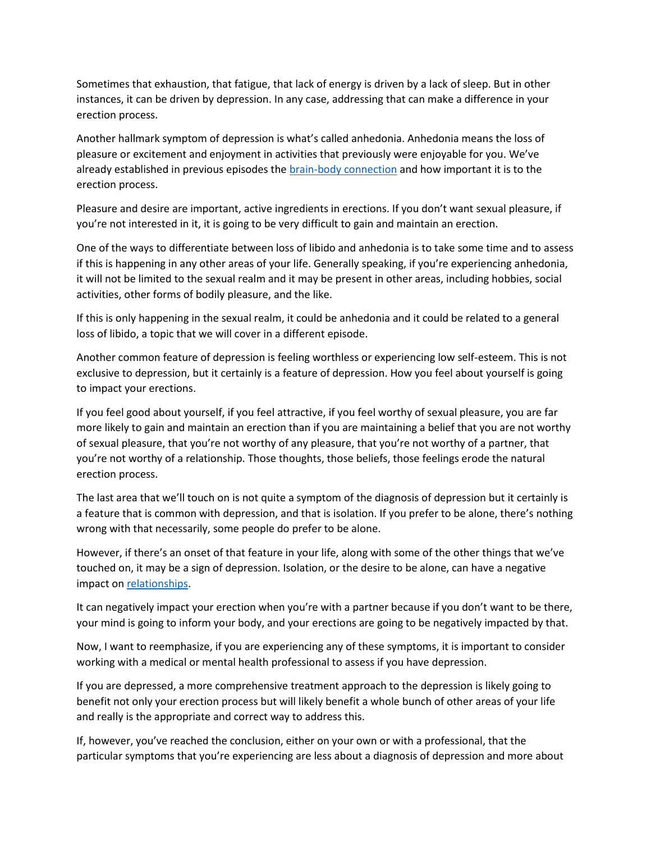Sometimes that exhaustion, that fatigue, that lack of energy is driven by a lack of sleep. But in other instances, it can be driven by depression. In any case, addressing that can make a difference in your erection process.

Another hallmark symptom of depression is what's called anhedonia. Anhedonia means the loss of pleasure or excitement and enjoyment in activities that previously were enjoyable for you. We've already established in previous episodes the **brain-body connection** and how important it is to the erection process.

Pleasure and desire are important, active ingredients in erections. If you don't want sexual pleasure, if you're not interested in it, it is going to be very difficult to gain and maintain an erection.

One of the ways to differentiate between loss of libido and anhedonia is to take some time and to assess if this is happening in any other areas of your life. Generally speaking, if you're experiencing anhedonia, it will not be limited to the sexual realm and it may be present in other areas, including hobbies, social activities, other forms of bodily pleasure, and the like.

If this is only happening in the sexual realm, it could be anhedonia and it could be related to a general loss of libido, a topic that we will cover in a different episode.

Another common feature of depression is feeling worthless or experiencing low self-esteem. This is not exclusive to depression, but it certainly is a feature of depression. How you feel about yourself is going to impact your erections.

If you feel good about yourself, if you feel attractive, if you feel worthy of sexual pleasure, you are far more likely to gain and maintain an erection than if you are maintaining a belief that you are not worthy of sexual pleasure, that you're not worthy of any pleasure, that you're not worthy of a partner, that you're not worthy of a relationship. Those thoughts, those beliefs, those feelings erode the natural erection process.

The last area that we'll touch on is not quite a symptom of the diagnosis of depression but it certainly is a feature that is common with depression, and that is isolation. If you prefer to be alone, there's nothing wrong with that necessarily, some people do prefer to be alone.

However, if there's an onset of that feature in your life, along with some of the other things that we've touched on, it may be a sign of depression. Isolation, or the desire to be alone, can have a negative impact on [relationships.](https://erectioniq.com/podcast-relationships/)

It can negatively impact your erection when you're with a partner because if you don't want to be there, your mind is going to inform your body, and your erections are going to be negatively impacted by that.

Now, I want to reemphasize, if you are experiencing any of these symptoms, it is important to consider working with a medical or mental health professional to assess if you have depression.

If you are depressed, a more comprehensive treatment approach to the depression is likely going to benefit not only your erection process but will likely benefit a whole bunch of other areas of your life and really is the appropriate and correct way to address this.

If, however, you've reached the conclusion, either on your own or with a professional, that the particular symptoms that you're experiencing are less about a diagnosis of depression and more about